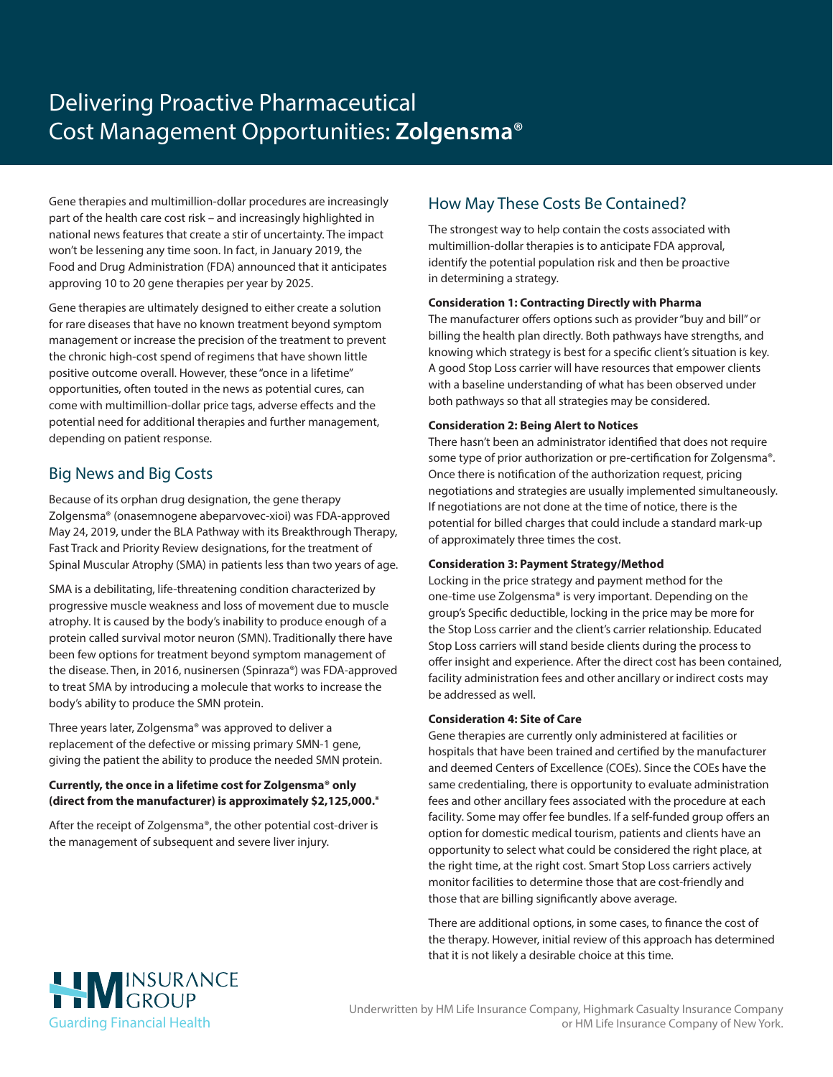# Delivering Proactive Pharmaceutical Cost Management Opportunities: **Zolgensma**®

Gene therapies and multimillion-dollar procedures are increasingly part of the health care cost risk – and increasingly highlighted in national news features that create a stir of uncertainty. The impact won't be lessening any time soon. In fact, in January 2019, the Food and Drug Administration (FDA) announced that it anticipates approving 10 to 20 gene therapies per year by 2025.

Gene therapies are ultimately designed to either create a solution for rare diseases that have no known treatment beyond symptom management or increase the precision of the treatment to prevent the chronic high-cost spend of regimens that have shown little positive outcome overall. However, these "once in a lifetime" opportunities, often touted in the news as potential cures, can come with multimillion-dollar price tags, adverse effects and the potential need for additional therapies and further management, depending on patient response.

## Big News and Big Costs

Because of its orphan drug designation, the gene therapy Zolgensma® (onasemnogene abeparvovec-xioi) was FDA-approved May 24, 2019, under the BLA Pathway with its Breakthrough Therapy, Fast Track and Priority Review designations, for the treatment of Spinal Muscular Atrophy (SMA) in patients less than two years of age.

SMA is a debilitating, life-threatening condition characterized by progressive muscle weakness and loss of movement due to muscle atrophy. It is caused by the body's inability to produce enough of a protein called survival motor neuron (SMN). Traditionally there have been few options for treatment beyond symptom management of the disease. Then, in 2016, nusinersen (Spinraza®) was FDA-approved to treat SMA by introducing a molecule that works to increase the body's ability to produce the SMN protein.

Three years later, Zolgensma® was approved to deliver a replacement of the defective or missing primary SMN-1 gene, giving the patient the ability to produce the needed SMN protein.

### **Currently, the once in a lifetime cost for Zolgensma® only (direct from the manufacturer) is approximately \$2,125,000.\***

After the receipt of Zolgensma®, the other potential cost-driver is the management of subsequent and severe liver injury.

# How May These Costs Be Contained?

The strongest way to help contain the costs associated with multimillion-dollar therapies is to anticipate FDA approval, identify the potential population risk and then be proactive in determining a strategy.

### **Consideration 1: Contracting Directly with Pharma**

The manufacturer offers options such as provider "buy and bill" or billing the health plan directly. Both pathways have strengths, and knowing which strategy is best for a specific client's situation is key. A good Stop Loss carrier will have resources that empower clients with a baseline understanding of what has been observed under both pathways so that all strategies may be considered.

### **Consideration 2: Being Alert to Notices**

There hasn't been an administrator identified that does not require some type of prior authorization or pre-certification for Zolgensma®. Once there is notification of the authorization request, pricing negotiations and strategies are usually implemented simultaneously. If negotiations are not done at the time of notice, there is the potential for billed charges that could include a standard mark-up of approximately three times the cost.

#### **Consideration 3: Payment Strategy/Method**

Locking in the price strategy and payment method for the one-time use Zolgensma® is very important. Depending on the group's Specific deductible, locking in the price may be more for the Stop Loss carrier and the client's carrier relationship. Educated Stop Loss carriers will stand beside clients during the process to offer insight and experience. After the direct cost has been contained, facility administration fees and other ancillary or indirect costs may be addressed as well.

#### **Consideration 4: Site of Care**

Gene therapies are currently only administered at facilities or hospitals that have been trained and certified by the manufacturer and deemed Centers of Excellence (COEs). Since the COEs have the same credentialing, there is opportunity to evaluate administration fees and other ancillary fees associated with the procedure at each facility. Some may offer fee bundles. If a self-funded group offers an option for domestic medical tourism, patients and clients have an opportunity to select what could be considered the right place, at the right time, at the right cost. Smart Stop Loss carriers actively monitor facilities to determine those that are cost-friendly and those that are billing significantly above average.

There are additional options, in some cases, to finance the cost of the therapy. However, initial review of this approach has determined that it is not likely a desirable choice at this time.